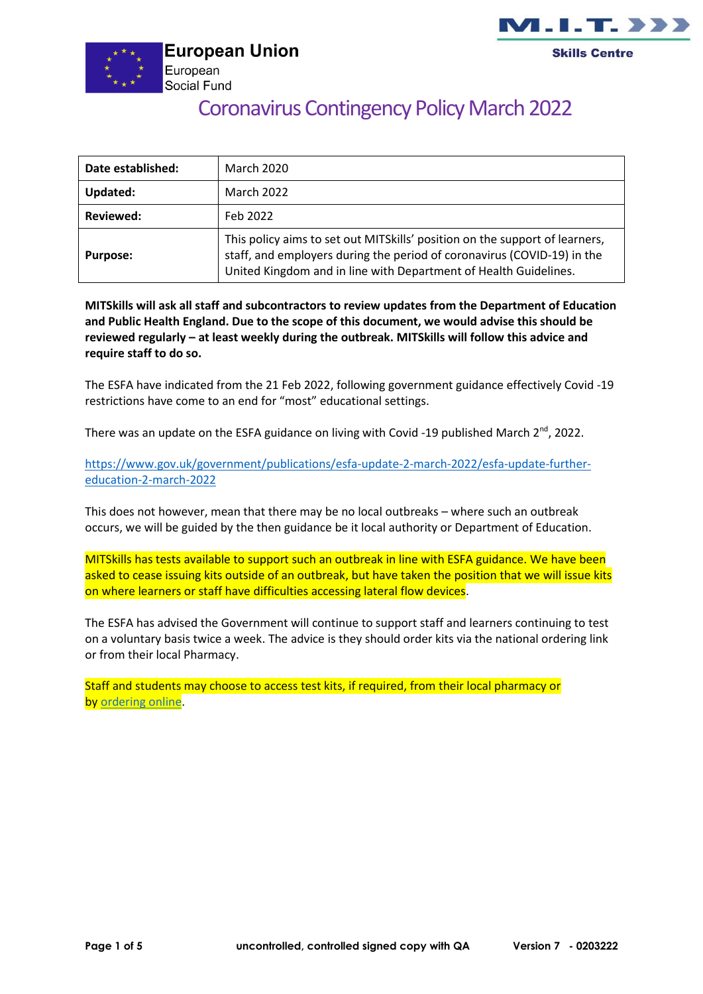



# Coronavirus Contingency Policy March 2022

| Date established: | <b>March 2020</b>                                                                                                                                                                                                           |
|-------------------|-----------------------------------------------------------------------------------------------------------------------------------------------------------------------------------------------------------------------------|
| Updated:          | <b>March 2022</b>                                                                                                                                                                                                           |
| <b>Reviewed:</b>  | Feb 2022                                                                                                                                                                                                                    |
| <b>Purpose:</b>   | This policy aims to set out MITS kills' position on the support of learners,<br>staff, and employers during the period of coronavirus (COVID-19) in the<br>United Kingdom and in line with Department of Health Guidelines. |

**MITSkills will ask all staff and subcontractors to review updates from the Department of Education and Public Health England. Due to the scope of this document, we would advise this should be reviewed regularly – at least weekly during the outbreak. MITSkills will follow this advice and require staff to do so.**

The ESFA have indicated from the 21 Feb 2022, following government guidance effectively Covid -19 restrictions have come to an end for "most" educational settings.

There was an update on the ESFA guidance on living with Covid -19 published March 2<sup>nd</sup>, 2022.

[https://www.gov.uk/government/publications/esfa-update-2-march-2022/esfa-update-further](https://www.gov.uk/government/publications/esfa-update-2-march-2022/esfa-update-further-education-2-march-2022)[education-2-march-2022](https://www.gov.uk/government/publications/esfa-update-2-march-2022/esfa-update-further-education-2-march-2022)

This does not however, mean that there may be no local outbreaks – where such an outbreak occurs, we will be guided by the then guidance be it local authority or Department of Education.

MITSkills has tests available to support such an outbreak in line with ESFA guidance. We have been asked to cease issuing kits outside of an outbreak, but have taken the position that we will issue kits on where learners or staff have difficulties accessing lateral flow devices.

The ESFA has advised the Government will continue to support staff and learners continuing to test on a voluntary basis twice a week. The advice is they should order kits via the national ordering link or from their local Pharmacy.

Staff and students may choose to access test kits, if required, from their local pharmacy or by [ordering online.](https://www.gov.uk/order-coronavirus-rapid-lateral-flow-tests?utm_source=24%20February%202022%20C19&utm_medium=Daily%20Email%20C19&utm_campaign=DfE%20C19)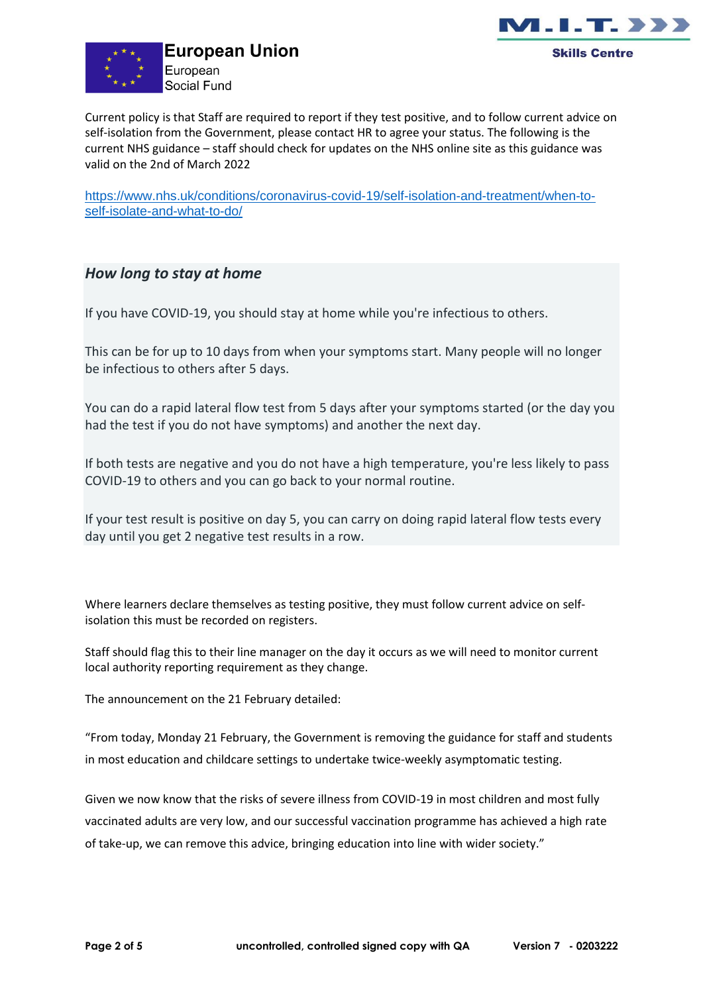



Current policy is that Staff are required to report if they test positive, and to follow current advice on self-isolation from the Government, please contact HR to agree your status. The following is the current NHS guidance – staff should check for updates on the NHS online site as this guidance was valid on the 2nd of March 2022

[https://www.nhs.uk/conditions/coronavirus-covid-19/self-isolation-and-treatment/when-to](https://www.nhs.uk/conditions/coronavirus-covid-19/self-isolation-and-treatment/when-to-self-isolate-and-what-to-do/)[self-isolate-and-what-to-do/](https://www.nhs.uk/conditions/coronavirus-covid-19/self-isolation-and-treatment/when-to-self-isolate-and-what-to-do/)

#### *How long to stay at home*

If you have COVID-19, you should stay at home while you're infectious to others.

This can be for up to 10 days from when your symptoms start. Many people will no longer be infectious to others after 5 days.

You can do a rapid lateral flow test from 5 days after your symptoms started (or the day you had the test if you do not have symptoms) and another the next day.

If both tests are negative and you do not have a high temperature, you're less likely to pass COVID-19 to others and you can go back to your normal routine.

If your test result is positive on day 5, you can carry on doing rapid lateral flow tests every day until you get 2 negative test results in a row.

Where learners declare themselves as testing positive, they must follow current advice on selfisolation this must be recorded on registers.

Staff should flag this to their line manager on the day it occurs as we will need to monitor current local authority reporting requirement as they change.

The announcement on the 21 February detailed:

"From today, Monday 21 February, the Government is removing the guidance for staff and students in most education and childcare settings to undertake twice-weekly asymptomatic testing.

Given we now know that the risks of severe illness from COVID-19 in most children and most fully vaccinated adults are very low, and our successful vaccination programme has achieved a high rate of take-up, we can remove this advice, bringing education into line with wider society."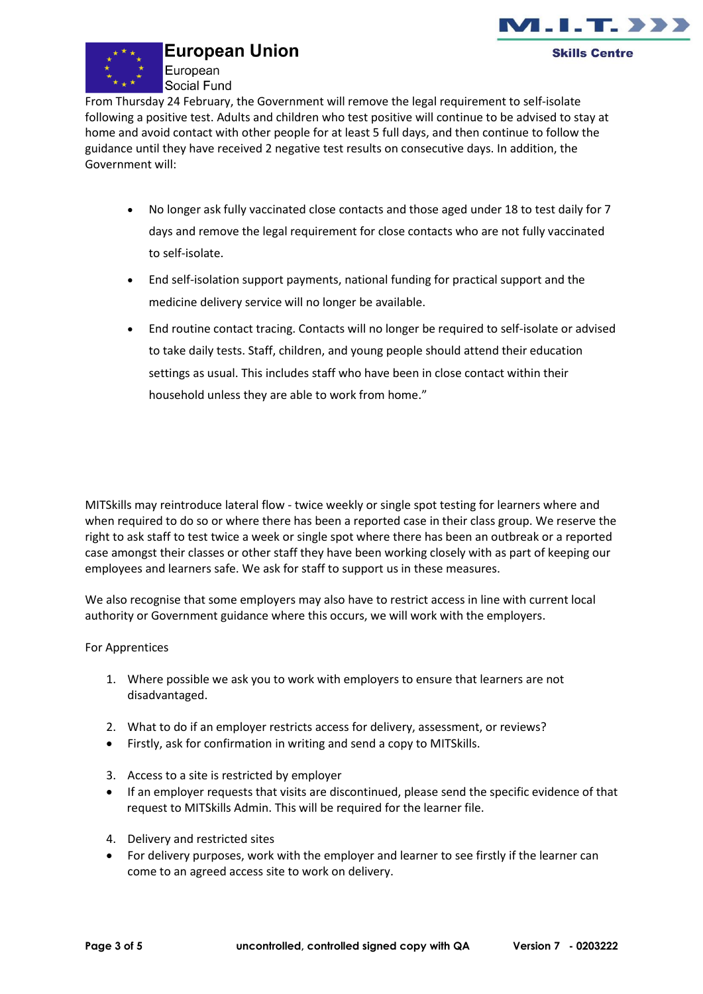

## **European Union**

European Social Fund



From Thursday 24 February, the Government will remove the legal requirement to self-isolate following a positive test. Adults and children who test positive will continue to be advised to stay at home and avoid contact with other people for at least 5 full days, and then continue to follow the guidance until they have received 2 negative test results on consecutive days. In addition, the Government will:

- No longer ask fully vaccinated close contacts and those aged under 18 to test daily for 7 days and remove the legal requirement for close contacts who are not fully vaccinated to self-isolate.
- End self-isolation support payments, national funding for practical support and the medicine delivery service will no longer be available.
- End routine contact tracing. Contacts will no longer be required to self-isolate or advised to take daily tests. Staff, children, and young people should attend their education settings as usual. This includes staff who have been in close contact within their household unless they are able to work from home."

MITSkills may reintroduce lateral flow - twice weekly or single spot testing for learners where and when required to do so or where there has been a reported case in their class group. We reserve the right to ask staff to test twice a week or single spot where there has been an outbreak or a reported case amongst their classes or other staff they have been working closely with as part of keeping our employees and learners safe. We ask for staff to support us in these measures.

We also recognise that some employers may also have to restrict access in line with current local authority or Government guidance where this occurs, we will work with the employers.

#### For Apprentices

- 1. Where possible we ask you to work with employers to ensure that learners are not disadvantaged.
- 2. What to do if an employer restricts access for delivery, assessment, or reviews?
- Firstly, ask for confirmation in writing and send a copy to MITSkills.
- 3. Access to a site is restricted by employer
- If an employer requests that visits are discontinued, please send the specific evidence of that request to MITSkills Admin. This will be required for the learner file.
- 4. Delivery and restricted sites
- For delivery purposes, work with the employer and learner to see firstly if the learner can come to an agreed access site to work on delivery.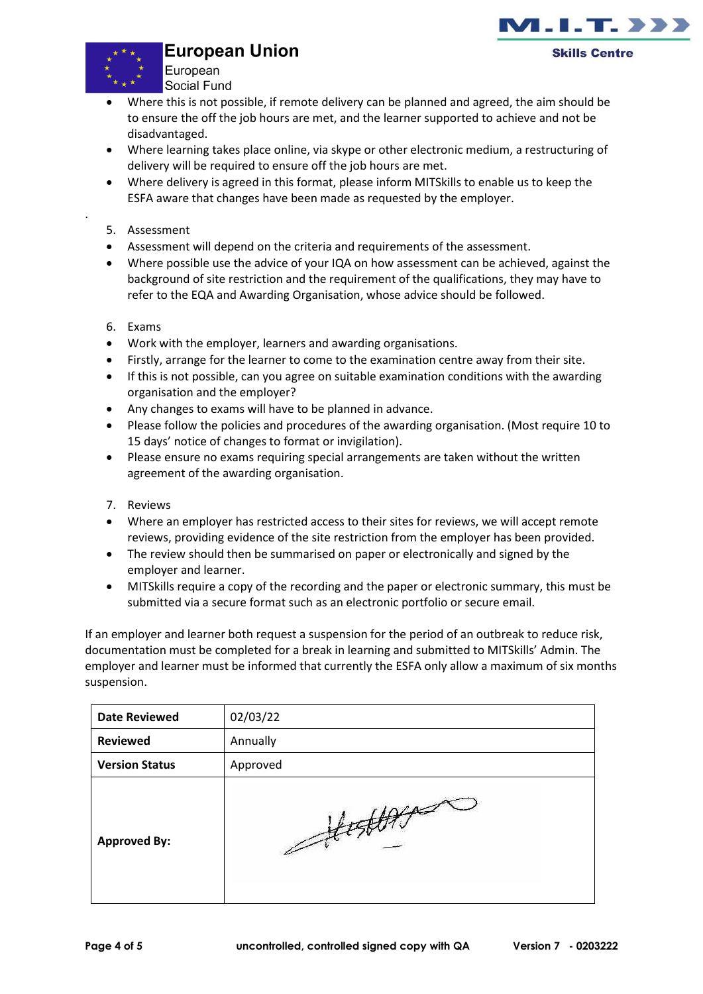### **European Union**





.

European Social Fund

- Where this is not possible, if remote delivery can be planned and agreed, the aim should be to ensure the off the job hours are met, and the learner supported to achieve and not be disadvantaged.
- Where learning takes place online, via skype or other electronic medium, a restructuring of delivery will be required to ensure off the job hours are met.
- Where delivery is agreed in this format, please inform MITSkills to enable us to keep the ESFA aware that changes have been made as requested by the employer.
- 5. Assessment
- Assessment will depend on the criteria and requirements of the assessment.
- Where possible use the advice of your IQA on how assessment can be achieved, against the background of site restriction and the requirement of the qualifications, they may have to refer to the EQA and Awarding Organisation, whose advice should be followed.
- 6. Exams
- Work with the employer, learners and awarding organisations.
- Firstly, arrange for the learner to come to the examination centre away from their site.
- If this is not possible, can you agree on suitable examination conditions with the awarding organisation and the employer?
- Any changes to exams will have to be planned in advance.
- Please follow the policies and procedures of the awarding organisation. (Most require 10 to 15 days' notice of changes to format or invigilation).
- Please ensure no exams requiring special arrangements are taken without the written agreement of the awarding organisation.
- 7. Reviews
- Where an employer has restricted access to their sites for reviews, we will accept remote reviews, providing evidence of the site restriction from the employer has been provided.
- The review should then be summarised on paper or electronically and signed by the employer and learner.
- MITSkills require a copy of the recording and the paper or electronic summary, this must be submitted via a secure format such as an electronic portfolio or secure email.

If an employer and learner both request a suspension for the period of an outbreak to reduce risk, documentation must be completed for a break in learning and submitted to MITSkills' Admin. The employer and learner must be informed that currently the ESFA only allow a maximum of six months suspension.

| <b>Date Reviewed</b>  | 02/03/22 |
|-----------------------|----------|
| <b>Reviewed</b>       | Annually |
| <b>Version Status</b> | Approved |
| <b>Approved By:</b>   | 0/4      |